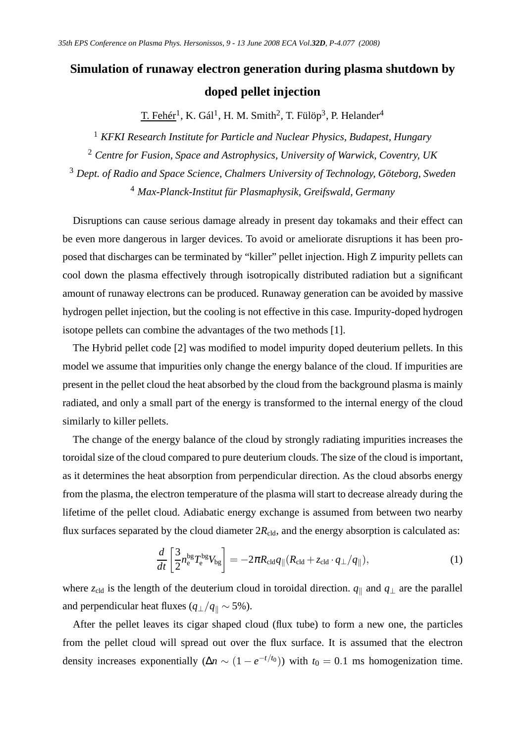## **Simulation of runaway electron generation during plasma shutdown by doped pellet injection**

T. Fehér<sup>1</sup>, K. Gál<sup>1</sup>, H. M. Smith<sup>2</sup>, T. Fülöp<sup>3</sup>, P. Helander<sup>4</sup>

 *KFKI Research Institute for Particle and Nuclear Physics, Budapest, Hungary Centre for Fusion, Space and Astrophysics, University of Warwick, Coventry, UK Dept. of Radio and Space Science, Chalmers University of Technology, Göteborg, Sweden Max-Planck-Institut für Plasmaphysik, Greifswald, Germany*

Disruptions can cause serious damage already in present day tokamaks and their effect can be even more dangerous in larger devices. To avoid or ameliorate disruptions it has been proposed that discharges can be terminated by "killer" pellet injection. High Z impurity pellets can cool down the plasma effectively through isotropically distributed radiation but a significant amount of runaway electrons can be produced. Runaway generation can be avoided by massive hydrogen pellet injection, but the cooling is not effective in this case. Impurity-doped hydrogen isotope pellets can combine the advantages of the two methods [1].

The Hybrid pellet code [2] was modified to model impurity doped deuterium pellets. In this model we assume that impurities only change the energy balance of the cloud. If impurities are present in the pellet cloud the heat absorbed by the cloud from the background plasma is mainly radiated, and only a small part of the energy is transformed to the internal energy of the cloud similarly to killer pellets.

The change of the energy balance of the cloud by strongly radiating impurities increases the toroidal size of the cloud compared to pure deuterium clouds. The size of the cloud is important, as it determines the heat absorption from perpendicular direction. As the cloud absorbs energy from the plasma, the electron temperature of the plasma will start to decrease already during the lifetime of the pellet cloud. Adiabatic energy exchange is assumed from between two nearby flux surfaces separated by the cloud diameter  $2R_{\text{cld}}$ , and the energy absorption is calculated as:

$$
\frac{d}{dt}\left[\frac{3}{2}n_{\rm e}^{\rm bg}T_{\rm e}^{\rm bg}V_{\rm bg}\right] = -2\pi R_{\rm cld}q_{\parallel}(R_{\rm cld} + z_{\rm cld} \cdot q_{\perp}/q_{\parallel}),\tag{1}
$$

where  $z_{\text{cld}}$  is the length of the deuterium cloud in toroidal direction.  $q_{\parallel}$  and  $q_{\perp}$  are the parallel and perpendicular heat fluxes ( $q_{\perp}/q_{\parallel} \sim 5\%$ ).

After the pellet leaves its cigar shaped cloud (flux tube) to form a new one, the particles from the pellet cloud will spread out over the flux surface. It is assumed that the electron density increases exponentially  $(\Delta n \sim (1 - e^{-t/t_0}))$  with  $t_0 = 0.1$  ms homogenization time.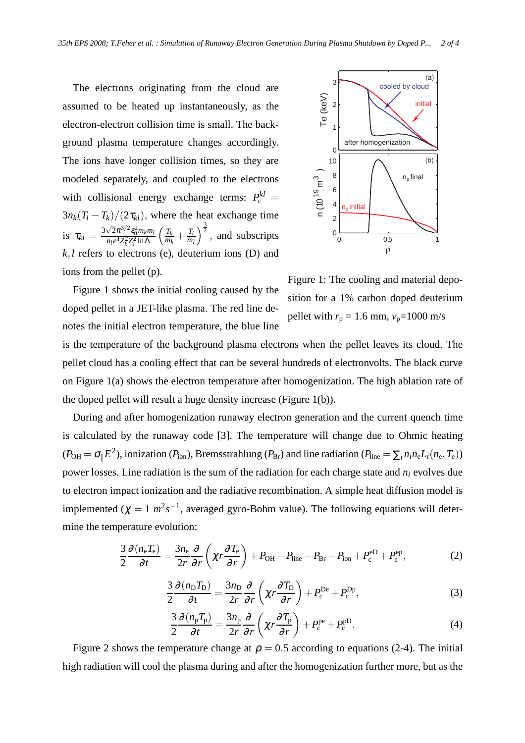The electrons originating from the cloud are assumed to be heated up instantaneously, as the electron-electron collision time is small. The background plasma temperature changes accordingly. The ions have longer collision times, so they are modeled separately, and coupled to the electrons with collisional energy exchange terms:  $P_c^{kl} =$  $3n_k(T_l - T_k)/(2\tau_{kl})$ , where the heat exchange time is  $\tau_{kl} = \frac{3\sqrt{2}\pi^{3/2} \epsilon_0^2 m_k m_l}{m_l e^4 Z^2 Z^2 \ln \Delta}$  $n_l e^4 Z_k^2 Z_l^2 \ln Λ$  $\left(T_k\right)$  $\frac{T_k}{m_k} + \frac{T_l}{m_l}$ *ml*  $\int_{0}^{\frac{3}{2}}$ , and subscripts  $k, l$  refers to electrons (e), deuterium ions (D) and ions from the pellet (p).



Figure 1 shows the initial cooling caused by the doped pellet in a JET-like plasma. The red line denotes the initial electron temperature, the blue line

Figure 1: The cooling and material deposition for a 1% carbon doped deuterium pellet with  $r_p = 1.6$  mm,  $v_p = 1000$  m/s

is the temperature of the background plasma electrons when the pellet leaves its cloud. The pellet cloud has a cooling effect that can be several hundreds of electronvolts. The black curve on Figure 1(a) shows the electron temperature after homogenization. The high ablation rate of the doped pellet will result a huge density increase (Figure 1(b)).

During and after homogenization runaway electron generation and the current quench time is calculated by the runaway code [3]. The temperature will change due to Ohmic heating  $(P_{\text{OH}} = \sigma_{\parallel} E^2)$ , ionization ( $P_{\text{ion}}$ ), Bremsstrahlung ( $P_{\text{Br}}$ ) and line radiation ( $P_{\text{line}} = \sum_i n_i n_e L_i(n_e, T_e)$ ) power losses. Line radiation is the sum of the radiation for each charge state and *n<sup>i</sup>* evolves due to electron impact ionization and the radiative recombination. A simple heat diffusion model is implemented ( $\chi = 1$   $m^2 s^{-1}$ , averaged gyro-Bohm value). The following equations will determine the temperature evolution:

$$
\frac{3}{2}\frac{\partial (n_{\rm e}T_{\rm e})}{\partial t} = \frac{3n_{\rm e}}{2r}\frac{\partial}{\partial r}\left(\chi r \frac{\partial T_{\rm e}}{\partial r}\right) + P_{\rm OH} - P_{\rm line} - P_{\rm Br} - P_{\rm ion} + P_{\rm c}^{\rm eD} + P_{\rm c}^{\rm ep},\tag{2}
$$

$$
\frac{3}{2}\frac{\partial (n_{\rm D}T_{\rm D})}{\partial t} = \frac{3n_{\rm D}}{2r}\frac{\partial}{\partial r}\left(\chi r \frac{\partial T_{\rm D}}{\partial r}\right) + P_{\rm c}^{\rm De} + P_{\rm c}^{\rm Dp},\tag{3}
$$

$$
\frac{3}{2}\frac{\partial (n_{\rm p}T_{\rm p})}{\partial t} = \frac{3n_{\rm p}}{2r}\frac{\partial}{\partial r}\left(\chi r \frac{\partial T_{\rm p}}{\partial r}\right) + P_{\rm c}^{\rm pe} + P_{\rm c}^{\rm pD}.\tag{4}
$$

Figure 2 shows the temperature change at  $\rho = 0.5$  according to equations (2-4). The initial high radiation will cool the plasma during and after the homogenization further more, but as the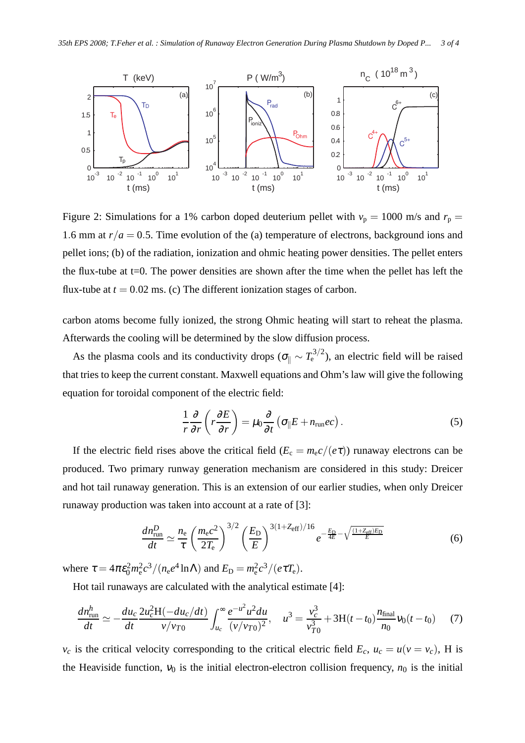

Figure 2: Simulations for a 1% carbon doped deuterium pellet with  $v_p = 1000$  m/s and  $r_p =$ 1.6 mm at  $r/a = 0.5$ . Time evolution of the (a) temperature of electrons, background ions and pellet ions; (b) of the radiation, ionization and ohmic heating power densities. The pellet enters the flux-tube at t=0. The power densities are shown after the time when the pellet has left the flux-tube at  $t = 0.02$  ms. (c) The different ionization stages of carbon.

carbon atoms become fully ionized, the strong Ohmic heating will start to reheat the plasma. Afterwards the cooling will be determined by the slow diffusion process.

As the plasma cools and its conductivity drops ( $\sigma_{\parallel} \sim T_{\rm e}^{3/2}$ ), an electric field will be raised that tries to keep the current constant. Maxwell equations and Ohm's law will give the following equation for toroidal component of the electric field:

$$
\frac{1}{r}\frac{\partial}{\partial r}\left(r\frac{\partial E}{\partial r}\right) = \mu_0 \frac{\partial}{\partial t}\left(\sigma_{\parallel} E + n_{\rm run}ec\right). \tag{5}
$$

If the electric field rises above the critical field ( $E_c = m_e c/(e\tau)$ ) runaway electrons can be produced. Two primary runway generation mechanism are considered in this study: Dreicer and hot tail runaway generation. This is an extension of our earlier studies, when only Dreicer runaway production was taken into account at a rate of [3]:

$$
\frac{dn_{\text{run}}^D}{dt} \simeq \frac{n_e}{\tau} \left(\frac{m_e c^2}{2T_e}\right)^{3/2} \left(\frac{E_D}{E}\right)^{3(1+Z_{\text{eff}})/16} e^{-\frac{E_D}{4E} - \sqrt{\frac{(1+Z_{\text{eff}})E_D}{E}}}
$$
(6)

where  $\tau = 4\pi \varepsilon_0^2 m_e^2 c^3 / (n_e e^4 \ln \Lambda)$  and  $E_D = m_e^2 c^3 / (e \tau T_e)$ .

Hot tail runaways are calculated with the analytical estimate [4]:

$$
\frac{dn_{\text{run}}^h}{dt} \simeq -\frac{du_c}{dt} \frac{2u_c^2 H(-du_c/dt)}{v/v_{T0}} \int_{u_c}^{\infty} \frac{e^{-u^2} u^2 du}{(v/v_{T0})^2}, \quad u^3 = \frac{v_c^3}{v_{T0}^3} + 3H(t-t_0) \frac{n_{\text{final}}}{n_0} v_0(t-t_0) \tag{7}
$$

 $v_c$  is the critical velocity corresponding to the critical electric field  $E_c$ ,  $u_c = u(v = v_c)$ , H is the Heaviside function,  $v_0$  is the initial electron-electron collision frequency,  $n_0$  is the initial